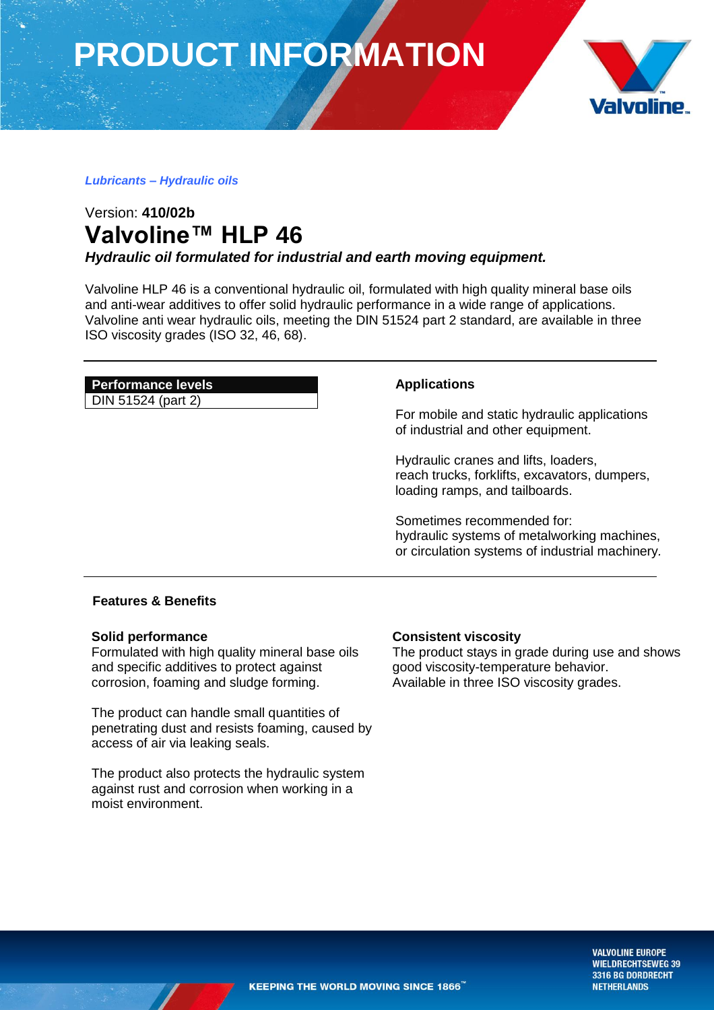**PRODUCT INFORMATION**



### *Lubricants – Hydraulic oils*

# Version: **410/02b Valvoline™ HLP 46**

*Hydraulic oil formulated for industrial and earth moving equipment.*

Valvoline HLP 46 is a conventional hydraulic oil, formulated with high quality mineral base oils and anti-wear additives to offer solid hydraulic performance in a wide range of applications. Valvoline anti wear hydraulic oils, meeting the DIN 51524 part 2 standard, are available in three ISO viscosity grades (ISO 32, 46, 68).

# **Performance levels**

DIN 51524 (part 2)

# **Applications**

For mobile and static hydraulic applications of industrial and other equipment.

Hydraulic cranes and lifts, loaders, reach trucks, forklifts, excavators, dumpers, loading ramps, and tailboards.

Sometimes recommended for: hydraulic systems of metalworking machines, or circulation systems of industrial machinery*.*

## **Features & Benefits**

### **Solid performance**

Formulated with high quality mineral base oils and specific additives to protect against corrosion, foaming and sludge forming.

The product can handle small quantities of penetrating dust and resists foaming, caused by access of air via leaking seals.

The product also protects the hydraulic system against rust and corrosion when working in a moist environment.

### **Consistent viscosity**

The product stays in grade during use and shows good viscosity-temperature behavior. Available in three ISO viscosity grades.

> **VALVOLINE EUROPE WIELDRECHTSEWEG 39** 3316 BG DORDRECHT **NETHERLANDS**